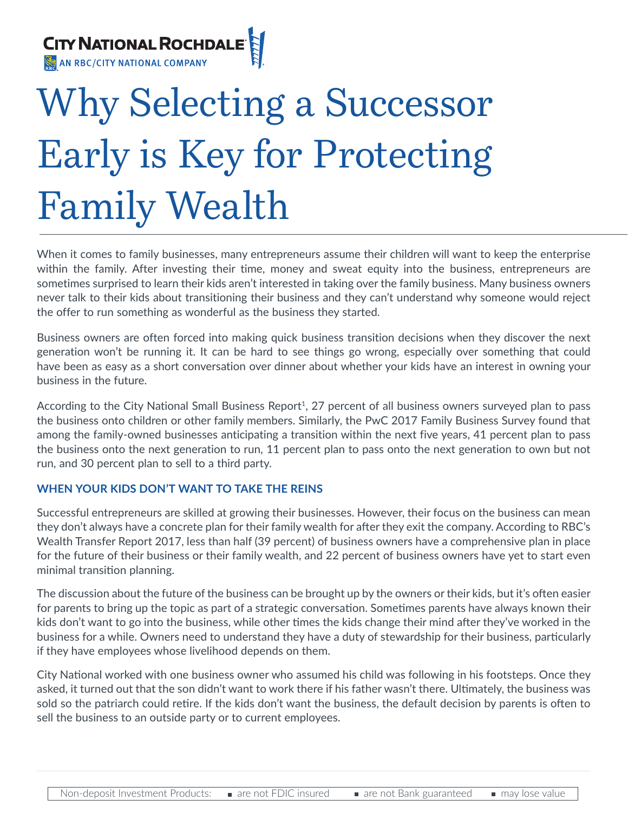

# Why Selecting a Successor Early is Key for Protecting Family Wealth

When it comes to family businesses, many entrepreneurs assume their children will want to keep the enterprise within the family. After investing their time, money and sweat equity into the business, entrepreneurs are sometimes surprised to learn their kids aren't interested in taking over the family business. Many business owners never talk to their kids about transitioning their business and they can't understand why someone would reject the offer to run something as wonderful as the business they started.

Business owners are often forced into making quick business transition decisions when they discover the next generation won't be running it. It can be hard to see things go wrong, especially over something that could have been as easy as a short conversation over dinner about whether your kids have an interest in owning your business in the future.

According to the City National Small Business Report<sup>1</sup>, 27 percent of all business owners surveyed plan to pass the business onto children or other family members. Similarly, the PwC 2017 Family Business Survey found that among the family-owned businesses anticipating a transition within the next five years, 41 percent plan to pass the business onto the next generation to run, 11 percent plan to pass onto the next generation to own but not run, and 30 percent plan to sell to a third party.

## **WHEN YOUR KIDS DON'T WANT TO TAKE THE REINS**

Successful entrepreneurs are skilled at growing their businesses. However, their focus on the business can mean they don't always have a concrete plan for their family wealth for after they exit the company. According to RBC's Wealth Transfer Report 2017, less than half (39 percent) of business owners have a comprehensive plan in place for the future of their business or their family wealth, and 22 percent of business owners have yet to start even minimal transition planning.

The discussion about the future of the business can be brought up by the owners or their kids, but it's often easier for parents to bring up the topic as part of a strategic conversation. Sometimes parents have always known their kids don't want to go into the business, while other times the kids change their mind after they've worked in the business for a while. Owners need to understand they have a duty of stewardship for their business, particularly if they have employees whose livelihood depends on them.

City National worked with one business owner who assumed his child was following in his footsteps. Once they asked, it turned out that the son didn't want to work there if his father wasn't there. Ultimately, the business was sold so the patriarch could retire. If the kids don't want the business, the default decision by parents is often to sell the business to an outside party or to current employees.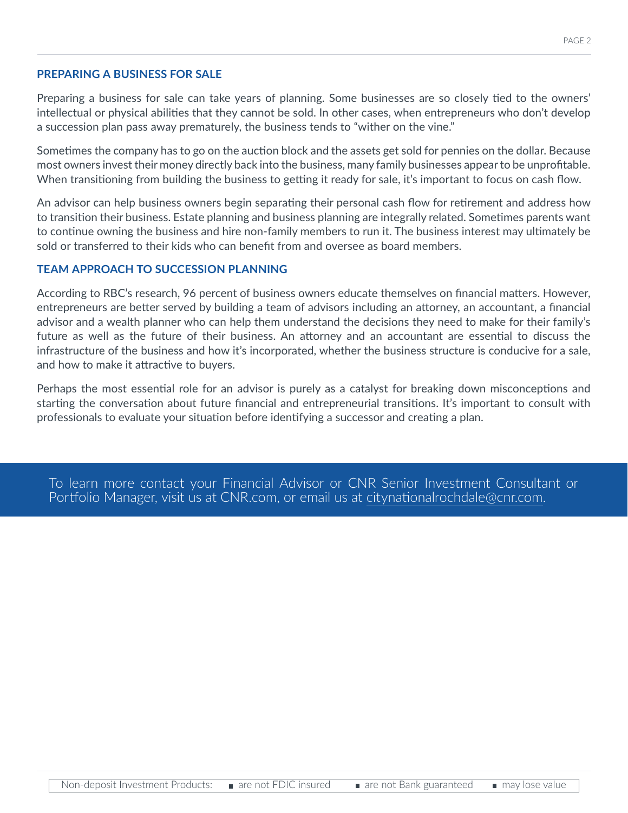### **PREPARING A BUSINESS FOR SALE**

Preparing a business for sale can take years of planning. Some businesses are so closely tied to the owners' intellectual or physical abilities that they cannot be sold. In other cases, when entrepreneurs who don't develop a succession plan pass away prematurely, the business tends to "wither on the vine."

Sometimes the company has to go on the auction block and the assets get sold for pennies on the dollar. Because most owners invest their money directly back into the business, many family businesses appear to be unprofitable. When transitioning from building the business to getting it ready for sale, it's important to focus on cash flow.

An advisor can help business owners begin separating their personal cash flow for retirement and address how to transition their business. Estate planning and business planning are integrally related. Sometimes parents want to continue owning the business and hire non-family members to run it. The business interest may ultimately be sold or transferred to their kids who can benefit from and oversee as board members.

### **TEAM APPROACH TO SUCCESSION PLANNING**

According to RBC's research, 96 percent of business owners educate themselves on financial matters. However, entrepreneurs are better served by building a team of advisors including an attorney, an accountant, a financial advisor and a wealth planner who can help them understand the decisions they need to make for their family's future as well as the future of their business. An attorney and an accountant are essential to discuss the infrastructure of the business and how it's incorporated, whether the business structure is conducive for a sale, and how to make it attractive to buyers.

Perhaps the most essential role for an advisor is purely as a catalyst for breaking down misconceptions and starting the conversation about future financial and entrepreneurial transitions. It's important to consult with professionals to evaluate your situation before identifying a successor and creating a plan.

To learn more contact your Financial Advisor or CNR Senior Investment Consultant or Portfolio Manager, visit us at CNR.com, or email us at citynationalrochdale@cnr.com.